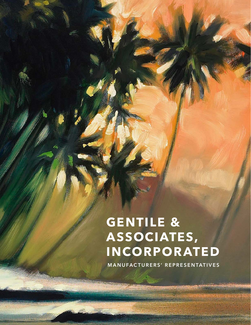# **GENTILE & ASSOCIATES, INCORPORATED**

**MANUFACTURERS' REPRESENTATIVES**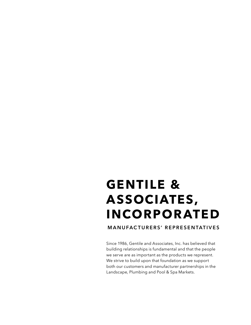# **GENTILE & ASSOCIATES, INCORPORATED**

**MANUFACTURERS' REPRESENTATIVES**

Since 1986, Gentile and Associates, Inc. has believed that building relationships is fundamental and that the people we serve are as important as the products we represent. We strive to build upon that foundation as we support both our customers and manufacturer partnerships in the Landscape, Plumbing and Pool & Spa Markets.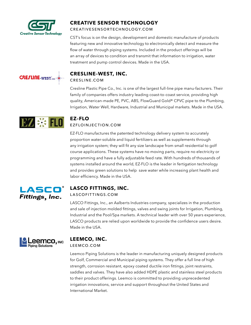

## **CREATIVE SENSOR TECHNOLOGY**

[CREATIVESENSORTECHNOLOGY.COM](http://creativesensortechnology.com)

CST's focus is on the design, development and domestic manufacture of products featuring new and innovative technology to electronically detect and measure the flow of water through piping systems. Included in the product offerings will be an array of devices to condition and transmit that information to irrigation, water treatment and pump control devices. Made in the USA.



#### **CRESLINE–WEST, INC.** [CRESLINE.COM](http://cresline.com)

Cresline Plastic Pipe Co., Inc. is one of the largest full-line pipe manu-facturers. Their family of companies offers industry leading coast-to-coast service, providing high quality, American-made PE, PVC, ABS, FlowGuard Gold® CPVC pipe to the Plumbing, Irrigation, Water Well, Hardware, Industrial and Municipal markets. Made in the USA.



## **EZ–FLO** [EZFLOINJECTION.COM](http://ezfloinjection.com)

EZ-FLO manufactures the patented technology delivery system to accurately proportion water-soluble and liquid fertilizers as well as supplements through any irrigation system; they will fit any size landscape from small residential to golf course applications. These systems have no moving parts, require no electricity or programming and have a fully adjustable feed rate. With hundreds of thousands of systems installed around the world, EZ-FLO is the leader in fertigation technology and provides green solutions to help save water while increasing plant health and labor efficiency. Made in the USA.



## **LASCO FITTINGS, INC.**

#### [LASCOFITTINGS.COM](http://lascofittings.com)

LASCO Fittings, Inc., an Aalberts Industries company, specializes in the production and sale of injection molded fittings, valves and swing joints for Irrigation, Plumbing, Industrial and the Pool/Spa markets. A technical leader with over 50 years experience, LASCO products are relied upon worldwide to provide the confidence users desire. Made in the USA.



## **LEEMCO, INC.**

[LEEMCO.COM](http://leemco.com)

Leemco Piping Solutions is the leader in manufacturing uniquely designed products for Golf, Commercial and Municipal piping systems. They offer a full line of high strength, corrosion resistant, epoxy coated ductile iron fittings, joint restraints, saddles and valves. They have also added HDPE plastic and stainless steel products to their product offerings. Leemco is committed to providing unprecedented irrigation innovations, service and support throughout the United States and International Market.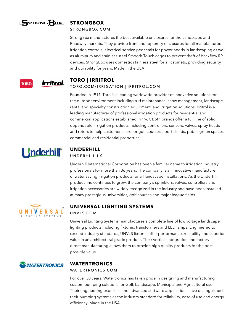

### **STRONGBOX**

#### STRONGBOX[.COM](http://vitproducts.com)

StrongBox manufactures the best available enclosures for the Landscape and Roadway markets. They provide front and top entry enclosures for all manufactured irrigation controls, electrical service pedestals for power needs in landscaping as well as aluminum and stainless steel Smooth Touch cages to prevent theft of backflow RP devices. StrongBox uses domestic stainless steel for all cabinets, providing security and durability for years. Made in the USA.



# **TORO | IRRITROL**

#### TORO[.COM/](http://vitproducts.com)IRRIGATION | IRRITROL.COM

Founded in 1914, Toro is a leading worldwide provider of innovative solutions for the outdoor environment including turf maintenance, snow management, landscape, rental and specialty construction equipment, and irrigation solutions. Irritrol is a leading manufacturer of professional irrigation products for residential and commercial applications established in 1967. Both brands offer a full line of solid, dependable, irrigation products including controllers, sensors, valves, spray heads and rotors to help customers care for golf courses, sports fields, public green spaces, commercial and residential properties.



# **UNDERHILL**

#### [UNDERHILL.US](http://underhill.us)

Underhill International Corporation has been a familiar name to irrigation industry professionals for more than 36 years. The company is an innovative manufacturer of water saving irrigation products for all landscape installations. As the Underhill product line continues to grow, the company's sprinklers, valves, controllers and irrigation accessories are widely recognized in the industry and have been installed at many prestigious universities, golf courses and major league fields.



## **UNIVERSAL LIGHTING SYSTEMS**

#### [UNVLS.COM](http://unvls.com)

Universal Lighting Systems manufactures a complete line of low voltage landscape lighting products including fixtures, transformers and LED lamps. Engineered to exceed industry standards, UNVLS fixtures offer performance, reliability and superior value in an architectural grade product. Their vertical integration and factory direct manufacturing allows them to provide high quality products for the best possible value.



## **WATERTRONICS**

#### [WATERTRONICS.COM](http://watertronics.com)

For over 30 years, Watertronics has taken pride in designing and manufacturing custom pumping solutions for Golf, Landscape, Municipal and Agricultural use. Their engineering expertise and advanced software applications have distinguished their pumping systems as the industry standard for reliability, ease of use and energy efficiency. Made in the USA.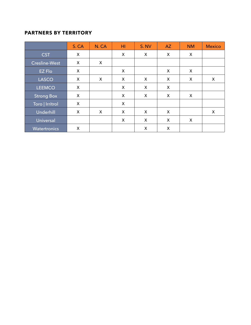## **PARTNERS BY TERRITORY**

|                     | S. CA | N.CA | HI | S. NV | <b>AZ</b> | <b>NM</b> | <b>Mexico</b> |
|---------------------|-------|------|----|-------|-----------|-----------|---------------|
| <b>CST</b>          | X     |      | X  | X     | X         | X         |               |
| Cresline-West       | X     | X    |    |       |           |           |               |
| <b>EZ Flo</b>       | X     |      | X  |       | X         | X         |               |
| <b>LASCO</b>        | X     | X    | X  | X     | X         | X         | X             |
| <b>LEEMCO</b>       | X     |      | X  | X     | X         |           |               |
| <b>Strong Box</b>   | X     |      | X  | X     | X         | X         |               |
| Toro   Irritrol     | X     |      | X  |       |           |           |               |
| <b>Underhill</b>    | X     | X    | X  | X     | X         |           | X             |
| Universal           |       |      | X  | X     | X         | X         |               |
| <b>Watertronics</b> | X     |      |    | X     | X         |           |               |